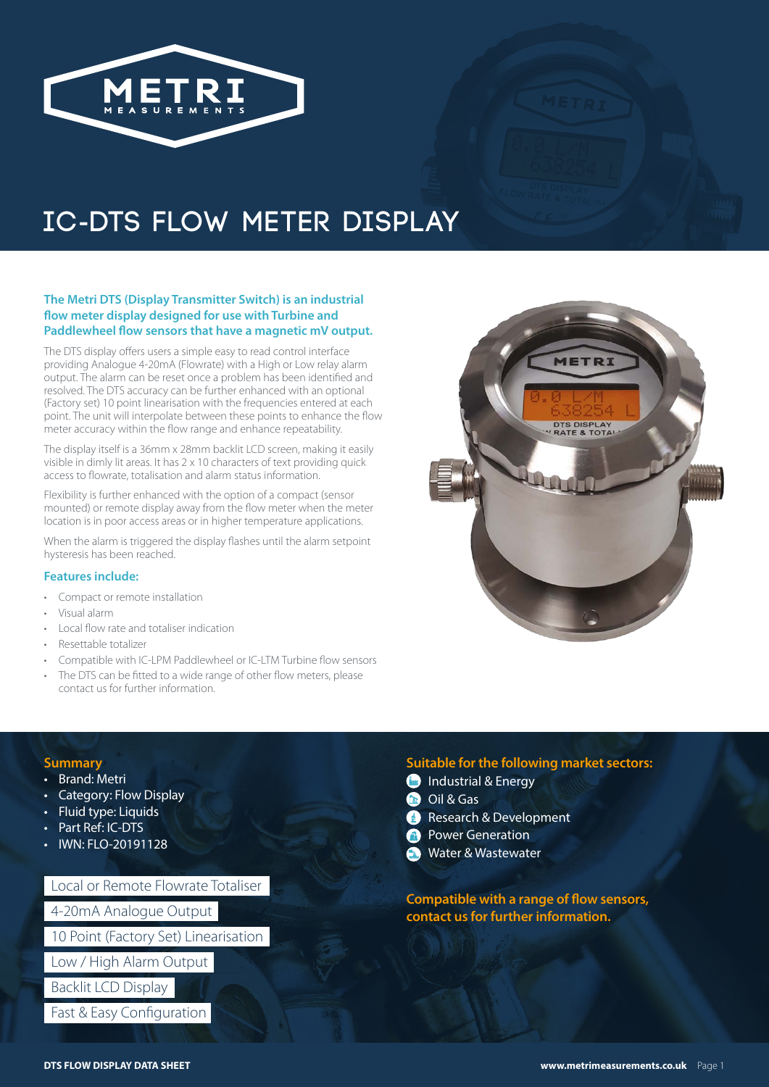

# **IC-DTS FLOW ME TER DISPLAY**

### **The Metri DTS (Display Transmitter Switch) is an industrial flow meter display designed for use with Turbine and Paddlewheel flow sensors that have a magnetic mV output.**

The DTS display offers users a simple easy to read control interface providing Analogue 4-20mA (Flowrate) with a High or Low relay alarm output. The alarm can be reset once a problem has been identified and resolved. The DTS accuracy can be further enhanced with an optional (Factory set) 10 point linearisation with the frequencies entered at each point. The unit will interpolate between these points to enhance the flow meter accuracy within the flow range and enhance repeatability.

The display itself is a 36mm x 28mm backlit LCD screen, making it easily visible in dimly lit areas. It has 2 x 10 characters of text providing quick access to flowrate, totalisation and alarm status information.

Flexibility is further enhanced with the option of a compact (sensor mounted) or remote display away from the flow meter when the meter location is in poor access areas or in higher temperature applications.

When the alarm is triggered the display flashes until the alarm setpoint hysteresis has been reached.

### **Features include:**

- Compact or remote installation
- Visual alarm
- Local flow rate and totaliser indication
- Resettable totalizer
- Compatible with IC-LPM Paddlewheel or IC-LTM Turbine flow sensors
- The DTS can be fitted to a wide range of other flow meters, please contact us for further information.



### **Summary**

- Brand: Metri
- Category: Flow Display
- Fluid type: Liquids
- Part Ref: IC-DTS
- IWN: FLO-20191128

Local or Remote Flowrate Totaliser 4-20mA Analogue Output

10 Point (Factory Set) Linearisation

Low / High Alarm Output

Backlit LCD Display

Fast & Easy Configuration

# **Suitable for the following market sectors:**

- **Industrial & Energy**
- **Oil & Gas**
- **Research & Development**
- **Power Generation**
- Water & Wastewater

**Compatible with a range of flow sensors, contact us for further information.**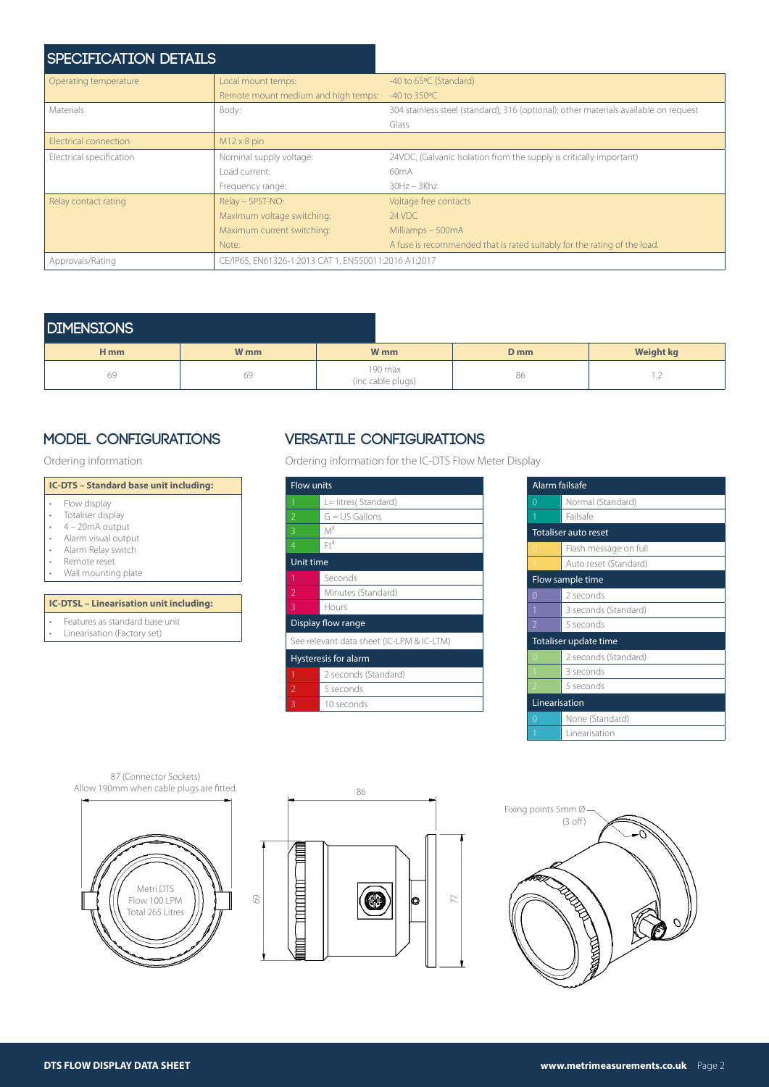| <b>SPECIFICATION DETAILS</b> |                                                      |                                                                                      |
|------------------------------|------------------------------------------------------|--------------------------------------------------------------------------------------|
| Operating temperature        | Local mount temps:                                   | -40 to 65°C (Standard)                                                               |
|                              | Remote mount medium and high temps:                  | $-40$ to 350 $\degree$ C                                                             |
| Materials                    | Body:                                                | 304 stainless steel (standard); 316 (optional); other materials available on request |
|                              |                                                      | Glass                                                                                |
| Electrical connection        | $M12 \times 8$ pin                                   |                                                                                      |
| Electrical specification     | Nominal supply voltage:                              | 24VDC, (Galvanic Isolation from the supply is critically important)                  |
|                              | Load current:                                        | 60 <sub>m</sub> A                                                                    |
|                              | Frequency range:                                     | $30Hz - 3Khz$                                                                        |
| Relay contact rating         | Relay - SPST-NO:                                     | Voltage free contacts                                                                |
|                              | Maximum voltage switching:                           | 24 VDC                                                                               |
|                              | Maximum current switching:                           | Milliamps - 500mA                                                                    |
|                              | Note:                                                | A fuse is recommended that is rated suitably for the rating of the load.             |
| Approvals/Rating             | CE/IP65, EN61326-1:2013 CAT 1, EN550011:2016 A1:2017 |                                                                                      |

# **DIMENSIONS**

| _____________   |                 |                              |                 |                          |
|-----------------|-----------------|------------------------------|-----------------|--------------------------|
| H <sub>mm</sub> | W <sub>mm</sub> | W <sub>mm</sub>              | D <sub>mm</sub> | <b>Weight kg</b>         |
| 69              | 69              | 190 max<br>(inc cable plugs) | 86              | $\overline{\phantom{a}}$ |

#### **IC-DTS – Standard base unit including:** • Flow display<br>• Totaliser disp • Totaliser display<br>•  $4 - 20$ mA outpu  $4 - 20$ mA output

- Alarm visual output
- Alarm Relay switch<br>• Remote reset
- Remote reset
- Wall mounting plate

#### **IC-DTSL – Linearisation unit including:**

- Features as standard base unit
- Linearisation (Factory set)

# **MODEL CONFIGURATIONS VERSATILE CONFIGURATIONS**

Ordering information Ordering information for the IC-DTS Flow Meter Display

| <b>Flow units</b>                         |                      |  |
|-------------------------------------------|----------------------|--|
| 1                                         | L= litres( Standard) |  |
| $\overline{2}$                            | $G = US$ Gallons     |  |
| 3                                         | $M^3$                |  |
| $\overline{4}$                            | $Fr^3$               |  |
| Unit time                                 |                      |  |
| 1                                         | Seconds              |  |
| 2                                         | Minutes (Standard)   |  |
| 3                                         | Hours                |  |
| Display flow range                        |                      |  |
| See relevant data sheet (IC-LPM & IC-LTM) |                      |  |
| Hysteresis for alarm                      |                      |  |
| 1                                         | 2 seconds (Standard) |  |
| 2                                         | 5 seconds            |  |
| 3                                         | 10 seconds           |  |

| Alarm failsafe           |                             |  |  |
|--------------------------|-----------------------------|--|--|
| 0                        | Normal (Standard)           |  |  |
| 1                        | Failsafe                    |  |  |
|                          | <b>Totaliser auto reset</b> |  |  |
| $\Omega$                 | Flash message on full       |  |  |
|                          | Auto reset (Standard)       |  |  |
| Flow sample time         |                             |  |  |
| $\Omega$                 | 2 seconds                   |  |  |
| 1                        | 3 seconds (Standard)        |  |  |
| $\overline{\phantom{a}}$ | 5 seconds                   |  |  |
| Totaliser update time    |                             |  |  |
| 0                        | 2 seconds (Standard)        |  |  |
|                          | 3 seconds                   |  |  |
| $\overline{\phantom{a}}$ | 5 seconds                   |  |  |
| Linearisation            |                             |  |  |
| Ω                        | None (Standard)             |  |  |
|                          | Linearisation               |  |  |



87 (Connector Sockets)